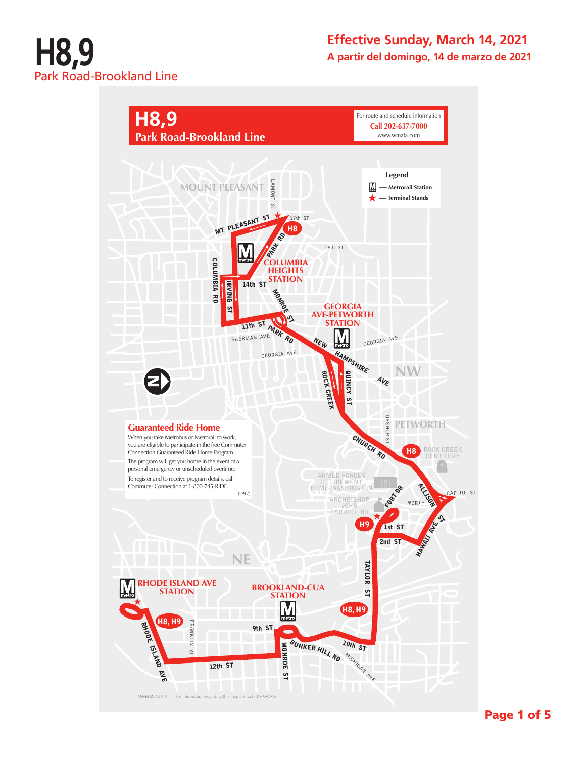

## **Effective Sunday, March 14, 2021 A partir del domingo, 14 de marzo de 2021**

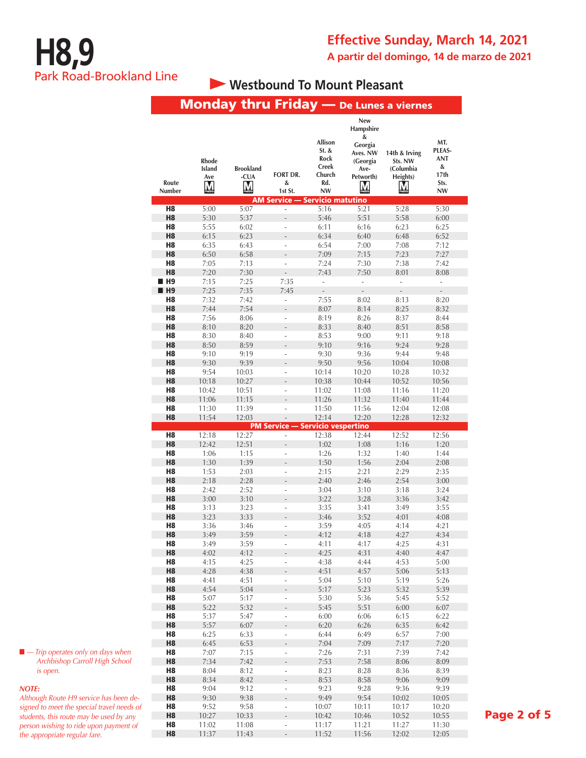# **Westbound To Mount Pleasant**

|                      |                                    | <b>Monday thru Friday</b> — De Lunes a viernes |                                                        |                                                             |                                                                                    |                                                               |                                           |
|----------------------|------------------------------------|------------------------------------------------|--------------------------------------------------------|-------------------------------------------------------------|------------------------------------------------------------------------------------|---------------------------------------------------------------|-------------------------------------------|
| Route                | <b>Rhode</b><br>Island<br>Ave<br>M | <b>Brookland</b><br>-CUA<br>M                  | <b>FORT DR.</b><br>&                                   | Allison<br>$St.$ &<br>Rock<br><b>Creek</b><br>Church<br>Rd. | New<br>Hampshire<br>&<br>Georgia<br>Aves. NW<br>(Georgia<br>Ave-<br>Petworth)<br>M | 14th & Irving<br>Sts. NW<br>(Columbia<br>Heights)<br><u>M</u> | MT.<br>PLEAS-<br>ANT<br>&<br>17th<br>Sts. |
| Number               |                                    |                                                | 1st St.                                                | <b>NW</b>                                                   |                                                                                    |                                                               | <b>NW</b>                                 |
| H8                   | 5:00                               | 5:07                                           | <b>AM Service - Servicio matutino</b><br>$\frac{1}{2}$ | 5:16                                                        | 5:21                                                                               | 5:28                                                          | 5:30                                      |
| H <sub>8</sub>       | 5:30                               | 5:37                                           |                                                        | 5:46                                                        | 5:51                                                                               | 5:58                                                          | 6:00                                      |
| H8                   | 5:55                               | 6:02                                           | ÷,                                                     | 6:11                                                        | 6:16                                                                               | 6:23                                                          | 6:25                                      |
| H8                   | 6:15                               | 6:23                                           |                                                        | 6:34                                                        | 6:40                                                                               | 6:48                                                          | 6:52                                      |
| H8                   | 6:35                               | 6:43                                           | L.                                                     | 6:54                                                        | 7:00                                                                               | 7:08                                                          | 7:12                                      |
| H <sub>8</sub>       | 6:50                               | 6:58                                           |                                                        | 7:09                                                        | 7:15                                                                               | 7:23                                                          | 7:27                                      |
| H8<br>H8             | 7:05<br>7:20                       | 7:13<br>7:30                                   | $\overline{a}$                                         | 7:24<br>7:43                                                | 7:30                                                                               | 7:38                                                          | 7:42                                      |
| H <sub>9</sub>       | 7:15                               | 7:25                                           | 7:35                                                   |                                                             | 7:50                                                                               | 8:01<br>i,                                                    | 8:08                                      |
| H <sub>9</sub>       | 7:25                               | 7:35                                           | 7:45                                                   |                                                             |                                                                                    |                                                               |                                           |
| H8                   | 7:32                               | 7:42                                           |                                                        | 7:55                                                        | 8:02                                                                               | 8:13                                                          | 8:20                                      |
| H <sub>8</sub>       | 7:44                               | 7:54                                           |                                                        | 8:07                                                        | 8:14                                                                               | 8:25                                                          | 8:32                                      |
| H8                   | 7:56                               | 8:06                                           | L.                                                     | 8:19                                                        | 8:26                                                                               | 8:37                                                          | 8:44                                      |
| H <sub>8</sub>       | 8:10                               | 8:20                                           |                                                        | 8:33                                                        | 8:40                                                                               | 8:51                                                          | 8:58                                      |
| H8<br>H <sub>8</sub> | 8:30<br>8:50                       | 8:40<br>8:59                                   | $\overline{\phantom{a}}$                               | 8:53<br>9:10                                                | 9:00<br>9:16                                                                       | 9:11<br>9:24                                                  | 9:18<br>9:28                              |
| H8                   | 9:10                               | 9:19                                           | L.                                                     | 9:30                                                        | 9:36                                                                               | 9:44                                                          | 9:48                                      |
| H <sub>8</sub>       | 9:30                               | 9:39                                           |                                                        | 9:50                                                        | 9:56                                                                               | 10:04                                                         | 10:08                                     |
| H8                   | 9:54                               | 10:03                                          | $\overline{a}$                                         | 10:14                                                       | 10:20                                                                              | 10:28                                                         | 10:32                                     |
| H <sub>8</sub>       | 10:18                              | 10:27                                          |                                                        | 10:38                                                       | 10:44                                                                              | 10:52                                                         | 10:56                                     |
| H8                   | 10:42                              | 10:51                                          |                                                        | 11:02                                                       | 11:08                                                                              | 11:16                                                         | 11:20                                     |
| H8                   | 11:06                              | 11:15                                          |                                                        | 11:26                                                       | 11:32                                                                              | 11:40                                                         | 11:44                                     |
| H8<br>H <sub>8</sub> | 11:30<br>11:54                     | 11:39<br>12:03                                 | L,                                                     | 11:50<br>12:14                                              | 11:56<br>12:20                                                                     | 12:04<br>12:28                                                | 12:08<br>12:32                            |
|                      |                                    |                                                | <b>PM Service -</b>                                    | Servicio vespertino                                         |                                                                                    |                                                               |                                           |
| H8                   | 12:18                              | 12:27                                          | ÷,                                                     | 12:38                                                       | 12:44                                                                              | 12:52                                                         | 12:56                                     |
| H8                   | 12:42                              | 12:51                                          |                                                        | 1:02                                                        | 1:08                                                                               | 1:16                                                          | 1:20                                      |
| H8                   | 1:06                               | 1:15                                           |                                                        | 1:26                                                        | 1:32                                                                               | 1:40                                                          | 1:44                                      |
| H8                   | 1:30                               | 1:39                                           |                                                        | 1:50                                                        | 1:56                                                                               | 2:04                                                          | 2:08                                      |
| H <sub>8</sub><br>H8 | 1:53<br>2:18                       | 2:03<br>2:28                                   | ä,                                                     | 2:15<br>2:40                                                | 2:21<br>2:46                                                                       | 2:29<br>2:54                                                  | 2:35<br>3:00                              |
| H <sub>8</sub>       | 2:42                               | 2:52                                           | L,                                                     | 3:04                                                        | 3:10                                                                               | 3:18                                                          | 3:24                                      |
| H <sub>8</sub>       | 3:00                               | 3:10                                           |                                                        | 3:22                                                        | 3:28                                                                               | 3:36                                                          | 3:42                                      |
| H8                   | 3:13                               | 3:23                                           | ÷,                                                     | 3:35                                                        | 3:41                                                                               | 3:49                                                          | 3:55                                      |
| H8                   | 3:23                               | 3:33                                           |                                                        | 3:46                                                        | 3:52                                                                               | 4:01                                                          | 4:08                                      |
| H8                   | 3:36                               | 3:46                                           |                                                        | 3:59                                                        | 4:05                                                                               | 4:14                                                          | 4:21                                      |
| H <sub>8</sub><br>H8 | 3:49                               | 3:59<br>3:59                                   |                                                        | 4:12<br>4:11                                                | 4:18<br>4:17                                                                       | 4:27<br>4:25                                                  | 4:34<br>4:31                              |
| H <sub>8</sub>       | 3:49<br>4:02                       | 4:12                                           |                                                        | 4:25                                                        | 4:31                                                                               | 4:40                                                          | 4:47                                      |
| H <sub>8</sub>       | 4:15                               | 4:25                                           | ÷,                                                     | 4:38                                                        | 4:44                                                                               | 4:53                                                          | 5:00                                      |
| H <sub>8</sub>       | 4:28                               | 4:38                                           |                                                        | 4:51                                                        | 4:57                                                                               | 5:06                                                          | 5:13                                      |
| H <sub>8</sub>       | 4:41                               | 4:51                                           | $\frac{1}{2}$                                          | 5:04                                                        | 5:10                                                                               | 5:19                                                          | 5:26                                      |
| H8                   | 4:54                               | 5:04                                           |                                                        | 5:17                                                        | 5:23                                                                               | 5:32                                                          | 5:39                                      |
| H8<br>H <sub>8</sub> | 5:07<br>5:22                       | 5:17<br>5:32                                   | $\overline{\phantom{0}}$                               | 5:30<br>5:45                                                | 5:36<br>5:51                                                                       | 5:45<br>6:00                                                  | 5:52<br>6:07                              |
| H <sub>8</sub>       | 5:37                               | 5:47                                           | ÷,                                                     | 6:00                                                        | 6:06                                                                               | 6:15                                                          | 6:22                                      |
| H8                   | 5:57                               | 6:07                                           | $\overline{a}$                                         | 6:20                                                        | 6:26                                                                               | 6:35                                                          | 6:42                                      |
| H8                   | 6:25                               | 6:33                                           | $\frac{1}{2}$                                          | 6:44                                                        | 6:49                                                                               | 6:57                                                          | 7:00                                      |
| H <sub>8</sub>       | 6:45                               | 6:53                                           | $\overline{\phantom{0}}$                               | 7:04                                                        | 7:09                                                                               | 7:17                                                          | 7:20                                      |
| H <sub>8</sub>       | 7:07                               | 7:15                                           | ÷,                                                     | 7:26                                                        | 7:31                                                                               | 7:39                                                          | 7:42                                      |
| H <sub>8</sub>       | 7:34                               | 7:42                                           |                                                        | 7:53                                                        | 7:58                                                                               | 8:06                                                          | 8:09                                      |
| H8<br>H <sub>8</sub> | 8:04<br>8:34                       | 8:12<br>8:42                                   | $\frac{1}{2}$<br>$\overline{a}$                        | 8:23<br>8:53                                                | 8:28<br>8:58                                                                       | 8:36<br>9:06                                                  | 8:39<br>9:09                              |
| H <sub>8</sub>       | 9:04                               | 9:12                                           | ÷                                                      | 9:23                                                        | 9:28                                                                               | 9:36                                                          | 9:39                                      |
| H <sub>8</sub>       | 9:30                               | 9:38                                           |                                                        | 9:49                                                        | 9:54                                                                               | 10:02                                                         | 10:05                                     |
| H <sub>8</sub>       | 9:52                               | 9:58                                           | $\overline{\phantom{a}}$                               | 10:07                                                       | 10:11                                                                              | 10:17                                                         | 10:20                                     |
| H8                   | 10:27                              | 10:33                                          |                                                        | 10:42                                                       | 10:46                                                                              | 10:52                                                         | 10:55                                     |
| H <sub>8</sub>       | 11:02                              | 11:08                                          | L,                                                     | 11:17                                                       | 11:21                                                                              | 11:27                                                         | 11:30                                     |
| H <sub>8</sub>       | 11:37                              | 11:43                                          | $\frac{1}{2}$                                          | 11:52                                                       | 11:56                                                                              | 12:02                                                         | 12:05                                     |

■ *— Trip operates only on days when Archbishop Carroll High School is open.*

### *NOTE:*

*Although Route H9 service has been designed to meet the special travel needs of students, this route may be used by any person wishing to ride upon payment of the appropriate regular fare.*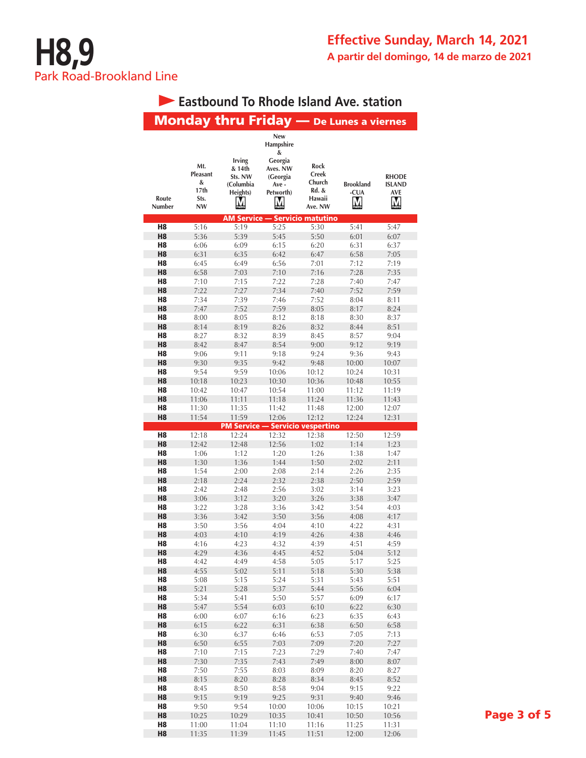|                                  |                                                               |                                                             |                                                                                           |                                                       | Eastbound To Rhode Island Ave. Station  |                                           |
|----------------------------------|---------------------------------------------------------------|-------------------------------------------------------------|-------------------------------------------------------------------------------------------|-------------------------------------------------------|-----------------------------------------|-------------------------------------------|
|                                  |                                                               |                                                             |                                                                                           |                                                       | Monday thru Friday - De Lunes a viernes |                                           |
| Route<br>Number                  | Mt.<br>Pleasant<br>&<br>17 <sub>th</sub><br>Sts.<br><b>NW</b> | <b>Irving</b><br>& 14th<br>Sts. NW<br>(Columbia<br>Heights) | <b>New</b><br>Hampshire<br>&<br>Georgia<br>Aves. NW<br>(Georgia<br>Ave-<br>Petworth)<br>М | Rock<br>Creek<br>Church<br>Rd. &<br>Hawaii<br>Ave. NW | <b>Brookland</b><br>-CUA<br>M           | <b>RHODE</b><br><b>ISLAND</b><br>AVE<br>M |
| H8                               | 5:16                                                          | <b>AM Service</b><br>5:19                                   | 5:25                                                                                      | <b>Servicio matutino</b><br>5:30                      | 5:41                                    | 5:47                                      |
| H <sub>8</sub>                   | 5:36                                                          | 5:39                                                        | 5:45                                                                                      | 5:50                                                  | 6:01                                    | 6:07                                      |
| H8                               | 6:06                                                          | 6:09                                                        | 6:15                                                                                      | 6:20                                                  | 6:31                                    | 6:37                                      |
| H <sub>8</sub>                   | 6:31                                                          | 6:35                                                        | 6:42                                                                                      | 6:47                                                  | 6:58                                    | 7:05                                      |
| H8                               | 6:45                                                          | 6:49                                                        | 6:56                                                                                      | 7:01                                                  | 7:12                                    | 7:19                                      |
| H <sub>8</sub>                   | 6:58                                                          | 7:03                                                        | 7:10                                                                                      | 7:16                                                  | 7:28                                    | 7:35                                      |
| H8<br>H8                         | 7:10<br>7:22                                                  | 7:15<br>7:27                                                | 7:22<br>7:34                                                                              | 7:28<br>7:40                                          | 7:40<br>7:52                            | 7:47<br>7:59                              |
| H8                               | 7:34                                                          | 7:39                                                        | 7:46                                                                                      | 7:52                                                  | 8:04                                    | 8:11                                      |
| H <sub>8</sub>                   | 7:47                                                          | 7:52                                                        | 7:59                                                                                      | 8:05                                                  | 8:17                                    | 8:24                                      |
| H8                               | 8:00                                                          | 8:05                                                        | 8:12                                                                                      | 8:18                                                  | 8:30                                    | 8:37                                      |
| H <sub>8</sub>                   | 8:14                                                          | 8:19                                                        | 8:26                                                                                      | 8:32                                                  | 8:44                                    | 8:51                                      |
| H8<br>H <sub>8</sub>             | 8:27                                                          | 8:32<br>8:47                                                | 8:39                                                                                      | 8:45                                                  | 8:57                                    | 9:04                                      |
| H8                               | 8:42<br>9:06                                                  | 9:11                                                        | 8:54<br>9:18                                                                              | 9:00<br>9:24                                          | 9:12<br>9:36                            | 9:19<br>9:43                              |
| H <sub>8</sub>                   | 9:30                                                          | 9:35                                                        | 9:42                                                                                      | 9:48                                                  | 10:00                                   | 10:07                                     |
| H8                               | 9:54                                                          | 9:59                                                        | 10:06                                                                                     | 10:12                                                 | 10:24                                   | 10:31                                     |
| H <sub>8</sub>                   | 10:18                                                         | 10:23                                                       | 10:30                                                                                     | 10:36                                                 | 10:48                                   | 10:55                                     |
| H8                               | 10:42                                                         | 10:47                                                       | 10:54                                                                                     | 11:00                                                 | 11:12                                   | 11:19                                     |
| H <sub>8</sub>                   | 11:06                                                         | 11:11                                                       | 11:18                                                                                     | 11:24                                                 | 11:36                                   | 11:43                                     |
| H8<br>H <sub>8</sub>             | 11:30<br>11:54                                                | 11:35<br>11:59                                              | 11:42<br>12:06                                                                            | 11:48<br>12:12                                        | 12:00<br>12:24                          | 12:07<br>12:31                            |
|                                  |                                                               | <b>PM Service - Servicio vespertino</b>                     |                                                                                           |                                                       |                                         |                                           |
| H8                               | 12:18                                                         | 12:24                                                       | 12:32                                                                                     | 12:38                                                 | 12:50                                   | 12:59                                     |
| H <sub>8</sub>                   | 12:42                                                         | 12:48                                                       | 12:56                                                                                     | 1:02                                                  | 1:14                                    | 1:23                                      |
| H8                               | 1:06                                                          | 1:12                                                        | 1:20                                                                                      | 1:26                                                  | 1:38                                    | 1:47                                      |
| H <sub>8</sub><br>H8             | 1:30<br>1:54                                                  | 1:36<br>2:00                                                | 1:44<br>2:08                                                                              | 1:50<br>2:14                                          | 2:02<br>2:26                            | 2:11<br>2:35                              |
| H <sub>8</sub>                   | 2:18                                                          | 2:24                                                        | 2:32                                                                                      | 2:38                                                  | 2:50                                    | 2:59                                      |
| H8                               | 2:42                                                          | 2:48                                                        | 2:56                                                                                      | 3:02                                                  | 3:14                                    | 3:23                                      |
| H <sub>8</sub>                   | 3:06                                                          | 3:12                                                        | 3:20                                                                                      | 3:26                                                  | 3:38                                    | 3:47                                      |
| H8                               | 3:22                                                          | 3:28                                                        | 3:36                                                                                      | 3:42                                                  | 3:54                                    | 4:03                                      |
| H <sub>8</sub>                   | 3:36                                                          | 3:42                                                        | 3:50                                                                                      | 3:56                                                  | 4:08                                    | 4:17                                      |
| H8<br>H <sub>8</sub>             | 3:50<br>4:03                                                  | 3:56<br>4:10                                                | 4:04<br>4:19                                                                              | 4:10<br>4:26                                          | 4:22<br>4:38                            | 4:31<br>4:46                              |
| H8                               | 4:16                                                          | 4:23                                                        | 4:32                                                                                      | 4:39                                                  | 4:51                                    | 4:59                                      |
| H <sub>8</sub>                   | 4:29                                                          | 4:36                                                        | 4:45                                                                                      | 4:52                                                  | 5:04                                    | 5:12                                      |
| H8                               | 4:42                                                          | 4:49                                                        | 4:58                                                                                      | 5:05                                                  | 5:17                                    | 5:25                                      |
| H <sub>8</sub>                   | 4:55                                                          | 5:02                                                        | 5:11                                                                                      | 5:18                                                  | 5:30                                    | 5:38                                      |
| H8                               | 5:08                                                          | 5:15                                                        | 5:24                                                                                      | 5:31                                                  | 5:43                                    | 5:51                                      |
| H8<br>H8                         | 5:21<br>5:34                                                  | 5:28<br>5:41                                                | 5:37<br>5:50                                                                              | 5:44<br>5:57                                          | 5:56<br>6:09                            | 6:04<br>6:17                              |
| H <sub>8</sub>                   | 5:47                                                          | 5:54                                                        | 6:03                                                                                      | 6:10                                                  | 6:22                                    | 6:30                                      |
| H8                               | 6:00                                                          | 6:07                                                        | 6:16                                                                                      | 6:23                                                  | 6:35                                    | 6:43                                      |
| H <sub>8</sub>                   | 6:15                                                          | 6:22                                                        | 6:31                                                                                      | 6:38                                                  | 6:50                                    | 6:58                                      |
| H8                               | 6:30                                                          | 6:37                                                        | 6:46                                                                                      | 6:53                                                  | 7:05                                    | 7:13                                      |
| H <sub>8</sub>                   | 6:50                                                          | 6:55                                                        | 7:03                                                                                      | 7:09                                                  | 7:20                                    | 7:27                                      |
| H <sub>8</sub><br>H <sub>8</sub> | 7:10<br>7:30                                                  | 7:15<br>7:35                                                | 7:23<br>7:43                                                                              | 7:29<br>7:49                                          | 7:40<br>8:00                            | 7:47<br>8:07                              |
| H8                               | 7:50                                                          | 7:55                                                        | 8:03                                                                                      | 8:09                                                  | 8:20                                    | 8:27                                      |
| H <sub>8</sub>                   | 8:15                                                          | 8:20                                                        | 8:28                                                                                      | 8:34                                                  | 8:45                                    | 8:52                                      |
| H8                               | 8:45                                                          | 8:50                                                        | 8:58                                                                                      | 9:04                                                  | 9:15                                    | 9:22                                      |
| H <sub>8</sub>                   | 9:15                                                          | 9:19                                                        | 9:25                                                                                      | 9:31                                                  | 9:40                                    | 9:46                                      |
| H8                               | 9:50                                                          | 9:54                                                        | 10:00                                                                                     | 10:06                                                 | 10:15                                   | 10:21                                     |
| H <sub>8</sub><br>H8             | 10:25<br>11:00                                                | 10:29<br>11:04                                              | 10:35<br>11:10                                                                            | 10:41<br>11:16                                        | 10:50<br>11:25                          | 10:56<br>11:31                            |
| H <sub>8</sub>                   | 11:35                                                         | 11:39                                                       | 11:45                                                                                     | 11:51                                                 | 12:00                                   | 12:06                                     |
|                                  |                                                               |                                                             |                                                                                           |                                                       |                                         |                                           |

# **Eastbound To Rhode Island Ave. station**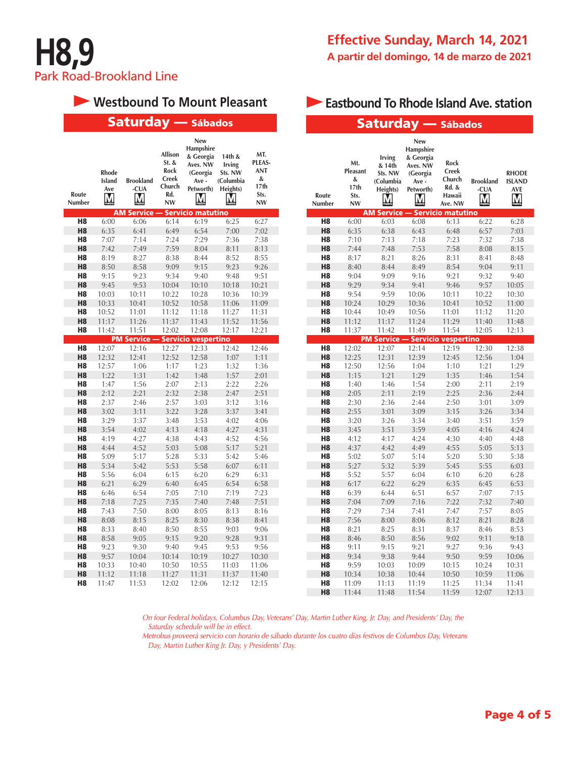

# **• Westbound To Mount Pleasant <b>Eastbound To Rhode Island Ave. station**

| <b>Saturday</b> — Sábados        |                                    |                                         |                                                                   |                                                                                 | Saturday — Sábados                                        |                                                               |                                  |                                                   |                                                           |                                                                                 |                                                       |                               |                                                  |
|----------------------------------|------------------------------------|-----------------------------------------|-------------------------------------------------------------------|---------------------------------------------------------------------------------|-----------------------------------------------------------|---------------------------------------------------------------|----------------------------------|---------------------------------------------------|-----------------------------------------------------------|---------------------------------------------------------------------------------|-------------------------------------------------------|-------------------------------|--------------------------------------------------|
| Route<br>Number                  | <b>Rhode</b><br>Island<br>Ave<br>M | <b>Brookland</b><br>-CUA<br>M           | Allison<br>$St.$ &<br>Rock<br>Creek<br>Church<br>Rd.<br><b>NW</b> | New<br>Hampshire<br>& Georgia<br>Aves. NW<br>(Georgia<br>Ave-<br>Petworth)<br>М | 14th &<br>Irving<br>Sts. NW<br>(Columbia<br>Heights)<br>М | MT.<br>PLEAS-<br><b>ANT</b><br>&<br>17th<br>Sts.<br><b>NW</b> | Route<br>Number                  | Mt.<br>Pleasant<br>&<br>17th<br>Sts.<br><b>NW</b> | Irving<br>& 14th<br>Sts. NW<br>(Columbia<br>Heights)<br>М | New<br>Hampshire<br>& Georgia<br>Aves. NW<br>(Georgia<br>Ave-<br>Petworth)<br>M | Rock<br>Creek<br>Church<br>Rd. &<br>Hawaii<br>Ave. NW | <b>Brookland</b><br>-CUA<br>М | <b>RHODE</b><br><b>ISLAND</b><br><b>AVE</b><br>M |
|                                  |                                    | <b>AM Service -</b>                     |                                                                   | - Servicio matutino                                                             |                                                           |                                                               |                                  |                                                   |                                                           | <b>AM Service - Servicio matutino</b>                                           |                                                       |                               |                                                  |
| H <sub>8</sub>                   | 6:00                               | 6:06                                    | 6:14                                                              | 6:19                                                                            | 6:25                                                      | 6:27                                                          | H <sub>8</sub>                   | 6:00                                              | 6:03                                                      | 6:08                                                                            | 6:13                                                  | 6:22                          | 6:28                                             |
| H <sub>8</sub>                   | 6:35                               | 6:41                                    | 6:49                                                              | 6:54                                                                            | 7:00                                                      | 7:02                                                          | H <sub>8</sub>                   | 6:35                                              | 6:38                                                      | 6:43                                                                            | 6:48                                                  | 6:57                          | 7:03                                             |
| H <sub>8</sub>                   | 7:07                               | 7:14                                    | 7:24                                                              | 7:29                                                                            | 7:36                                                      | 7:38                                                          | H <sub>8</sub>                   | 7:10                                              | 7:13                                                      | 7:18                                                                            | 7:23                                                  | 7:32                          | 7:38                                             |
| H <sub>8</sub>                   | 7:42                               | 7:49                                    | 7:59                                                              | 8:04                                                                            | 8:11                                                      | 8:13                                                          | H <sub>8</sub>                   | 7:44                                              | 7:48                                                      | 7:53                                                                            | 7:58                                                  | 8:08                          | 8:15                                             |
| H8                               | 8:19                               | 8:27                                    | 8:38                                                              | 8:44                                                                            | 8:52                                                      | 8:55                                                          | H <sub>8</sub>                   | 8:17                                              | 8:21                                                      | 8:26                                                                            | 8:31                                                  | 8:41                          | 8:48                                             |
| H <sub>8</sub>                   | 8:50                               | 8:58                                    | 9:09                                                              | 9:15                                                                            | 9:23                                                      | 9:26                                                          | H <sub>8</sub>                   | 8:40                                              | 8:44                                                      | 8:49                                                                            | 8:54                                                  | 9:04                          | 9:11                                             |
| H8                               | 9:15                               | 9:23                                    | 9:34                                                              | 9:40                                                                            | 9:48                                                      | 9:51                                                          | H <sub>8</sub>                   | 9:04                                              | 9:09                                                      | 9:16                                                                            | 9:21                                                  | 9:32                          | 9:40                                             |
| H <sub>8</sub><br>H <sub>8</sub> | 9:45<br>10:03                      | 9:53                                    | 10:04                                                             | 10:10<br>10:28                                                                  | 10:18                                                     | 10:21                                                         | H <sub>8</sub><br>H <sub>8</sub> | 9:29                                              | 9:34<br>9:59                                              | 9:41                                                                            | 9:46                                                  | 9:57<br>10:22                 | 10:05<br>10:30                                   |
| H <sub>8</sub>                   | 10:33                              | 10:11<br>10:41                          | 10:22<br>10:52                                                    | 10:58                                                                           | 10:36                                                     | 10:39<br>11:09                                                | H <sub>8</sub>                   | 9:54<br>10:24                                     | 10:29                                                     | 10:06<br>10:36                                                                  | 10:11<br>10:41                                        | 10:52                         | 11:00                                            |
| H8                               | 10:52                              | 11:01                                   | 11:12                                                             | 11:18                                                                           | 11:06<br>11:27                                            | 11:31                                                         | H <sub>8</sub>                   | 10:44                                             | 10:49                                                     | 10:56                                                                           | 11:01                                                 | 11:12                         | 11:20                                            |
| H <sub>8</sub>                   |                                    | 11:26                                   | 11:37                                                             |                                                                                 |                                                           |                                                               | H <sub>8</sub>                   |                                                   |                                                           | 11:24                                                                           | 11:29                                                 |                               |                                                  |
| H <sub>8</sub>                   | 11:17<br>11:42                     | 11:51                                   | 12:02                                                             | 11:43<br>12:08                                                                  | 11:52<br>12:17                                            | 11:56<br>12:21                                                | H <sub>8</sub>                   | 11:12<br>11:37                                    | 11:17<br>11:42                                            | 11:49                                                                           | 11:54                                                 | 11:40<br>12:05                | 11:48<br>12:13                                   |
|                                  |                                    | <b>PM Service - Servicio vespertino</b> |                                                                   |                                                                                 |                                                           |                                                               |                                  |                                                   |                                                           | <b>PM Service - Servicio vespertino</b>                                         |                                                       |                               |                                                  |
| H <sub>8</sub>                   | 12:07                              | 12:16                                   | 12:27                                                             | 12:33                                                                           | 12:42                                                     | 12:46                                                         | H <sub>8</sub>                   | 12:02                                             | 12:07                                                     | 12:14                                                                           | 12:19                                                 | 12:30                         | 12:38                                            |
| H <sub>8</sub>                   | 12:32                              | 12:41                                   | 12:52                                                             | 12:58                                                                           | 1:07                                                      | 1:11                                                          | H <sub>8</sub>                   | 12:25                                             | 12:31                                                     | 12:39                                                                           | 12:45                                                 | 12:56                         | 1:04                                             |
| H <sub>8</sub>                   | 12:57                              | 1:06                                    | 1:17                                                              | 1:23                                                                            | 1:32                                                      | 1:36                                                          | H <sub>8</sub>                   | 12:50                                             | 12:56                                                     | 1:04                                                                            | 1:10                                                  | 1:21                          | 1:29                                             |
| H <sub>8</sub>                   | 1:22                               | 1:31                                    | 1:42                                                              | 1:48                                                                            | 1:57                                                      | 2:01                                                          | H <sub>8</sub>                   | 1:15                                              | 1:21                                                      | 1:29                                                                            | 1:35                                                  | 1:46                          | 1:54                                             |
| H <sub>8</sub>                   | 1:47                               | 1:56                                    | 2:07                                                              | 2:13                                                                            | 2:22                                                      | 2:26                                                          | H <sub>8</sub>                   | 1:40                                              | 1:46                                                      | 1:54                                                                            | 2:00                                                  | 2:11                          | 2:19                                             |
| H <sub>8</sub>                   | 2:12                               | 2:21                                    | 2:32                                                              | 2:38                                                                            | 2:47                                                      | 2:51                                                          | H <sub>8</sub>                   | 2:05                                              | 2:11                                                      | 2:19                                                                            | 2:25                                                  | 2:36                          | 2:44                                             |
| H8                               | 2:37                               | 2:46                                    | 2:57                                                              | 3:03                                                                            | 3:12                                                      | 3:16                                                          | H <sub>8</sub>                   | 2:30                                              | 2:36                                                      | 2:44                                                                            | 2:50                                                  | 3:01                          | 3:09                                             |
| H <sub>8</sub>                   | 3:02                               | 3:11                                    | 3:22                                                              | 3:28                                                                            | 3:37                                                      | 3:41                                                          | H <sub>8</sub>                   | 2:55                                              | 3:01                                                      | 3:09                                                                            | 3:15                                                  | 3:26                          | 3:34                                             |
| H <sub>8</sub>                   | 3:29                               | 3:37                                    | 3:48                                                              | 3:53                                                                            | 4:02                                                      | 4:06                                                          | H <sub>8</sub>                   | 3:20                                              | 3:26                                                      | 3:34                                                                            | 3:40                                                  | 3:51                          | 3:59                                             |
| H <sub>8</sub>                   | 3:54                               | 4:02                                    | 4:13                                                              | 4:18                                                                            | 4:27                                                      | 4:31                                                          | H <sub>8</sub>                   | 3:45                                              | 3:51                                                      | 3:59                                                                            | 4:05                                                  | 4:16                          | 4:24                                             |
| H <sub>8</sub>                   | 4:19                               | 4:27                                    | 4:38                                                              | 4:43                                                                            | 4:52                                                      | 4:56                                                          | H <sub>8</sub>                   | 4:12                                              | 4:17                                                      | 4:24                                                                            | 4:30                                                  | 4:40                          | 4:48                                             |
| H <sub>8</sub>                   | 4:44                               | 4:52                                    | 5:03                                                              | 5:08                                                                            | 5:17                                                      | 5:21                                                          | H <sub>8</sub>                   | 4:37                                              | 4:42                                                      | 4:49                                                                            | 4:55                                                  | 5:05                          | 5:13                                             |
| H8                               | 5:09                               | 5:17                                    | 5:28                                                              | 5:33                                                                            | 5:42                                                      | 5:46                                                          | H <sub>8</sub>                   | 5:02                                              | 5:07                                                      | 5:14                                                                            | 5:20                                                  | 5:30                          | 5:38                                             |
| H <sub>8</sub>                   | 5:34                               | 5:42                                    | 5:53                                                              | 5:58                                                                            | 6:07                                                      | 6:11                                                          | H <sub>8</sub>                   | 5:27                                              | 5:32                                                      | 5:39                                                                            | 5:45                                                  | 5:55                          | 6:03                                             |
| H <sub>8</sub>                   | 5:56                               | 6:04                                    | 6:15                                                              | 6:20                                                                            | 6:29                                                      | 6:33                                                          | H <sub>8</sub>                   | 5:52                                              | 5:57                                                      | 6:04                                                                            | 6:10                                                  | 6:20                          | 6:28                                             |
| H <sub>8</sub>                   | 6:21                               | 6:29                                    | 6:40                                                              | 6:45                                                                            | 6:54                                                      | 6:58                                                          | H <sub>8</sub>                   | 6:17                                              | 6:22                                                      | 6:29                                                                            | 6:35                                                  | 6:45                          | 6:53                                             |
| H <sub>8</sub>                   | 6:46                               | 6:54                                    | 7:05                                                              | 7:10                                                                            | 7:19                                                      | 7:23                                                          | H <sub>8</sub>                   | 6:39                                              | 6:44                                                      | 6:51                                                                            | 6:57                                                  | 7:07                          | 7:15                                             |
| H <sub>8</sub>                   | 7:18                               | 7:25                                    | 7:35                                                              | 7:40                                                                            | 7:48                                                      | 7:51                                                          | H <sub>8</sub>                   | 7:04                                              | 7:09                                                      | 7:16                                                                            | 7:22                                                  | 7:32                          | 7:40                                             |
| H <sub>8</sub>                   | 7:43                               | 7:50                                    | 8:00                                                              | 8:05                                                                            | 8:13                                                      | 8:16                                                          | H <sub>8</sub>                   | 7:29                                              | 7:34                                                      | 7:41                                                                            | 7:47                                                  | 7:57                          | 8:05                                             |
| H <sub>8</sub>                   | 8:08                               | 8:15                                    | 8:25                                                              | 8:30                                                                            | 8:38                                                      | 8:41                                                          | H <sub>8</sub>                   | 7:56                                              | 8:00                                                      | 8:06                                                                            | 8:12                                                  | 8:21                          | 8:28                                             |
| H <sub>8</sub>                   | 8:33                               | 8:40                                    | 8:50                                                              | 8:55                                                                            | 9:03                                                      | 9:06                                                          | H <sub>8</sub>                   | 8:21                                              | 8:25                                                      | 8:31                                                                            | 8:37                                                  | 8:46                          | 8:53                                             |
| H <sub>8</sub>                   | 8:58                               | 9:05                                    | 9:15                                                              | 9:20                                                                            | 9:28                                                      | 9:31                                                          | H <sub>8</sub>                   | 8:46                                              | 8:50                                                      | 8:56                                                                            | 9:02                                                  | 9:11                          | 9:18                                             |
| H <sub>8</sub>                   | 9:23                               | 9:30                                    | 9:40                                                              | 9:45                                                                            | 9:53                                                      | 9:56                                                          | H <sub>8</sub>                   | 9:11                                              | 9:15                                                      | 9:21                                                                            | 9:27                                                  | 9:36                          | 9:43                                             |
| H <sub>8</sub>                   | 9:57                               | 10:04                                   | 10:14                                                             | 10:19                                                                           | 10:27                                                     | 10:30                                                         | H <sub>8</sub>                   | 9:34                                              | 9:38                                                      | 9:44                                                                            | 9:50                                                  | 9:59                          | 10:06                                            |
| H <sub>8</sub>                   | 10:33                              | 10:40                                   | 10:50                                                             | 10:55                                                                           | 11:03                                                     | 11:06                                                         | H <sub>8</sub>                   | 9:59                                              | 10:03                                                     | 10:09                                                                           | 10:15                                                 | 10:24                         | 10:31                                            |
| H <sub>8</sub>                   | 11:12                              | 11:18                                   | 11:27                                                             | 11:31                                                                           | 11:37                                                     | 11:40                                                         | H <sub>8</sub>                   | 10:34                                             | 10:38                                                     | 10:44                                                                           | 10:50                                                 | 10:59                         | 11:06                                            |
| H <sub>8</sub>                   | 11:47                              | 11:53                                   | 12:02                                                             | 12:06                                                                           | 12:12                                                     | 12:15                                                         | H <sub>8</sub><br>H <sub>8</sub> | 11:09<br>11:44                                    | 11:13<br>11:48                                            | 11:19<br>11:54                                                                  | 11:25<br>11:59                                        | 11:34<br>12:07                | 11:41<br>12:13                                   |

*On four Federal holidays, Columbus Day, Veterans' Day, Martin Luther King, Jr. Day, and Presidents' Day, the Saturday schedule will be in effect.*

*Metrobus proveerá servicio con horario de sábado durante los cuatro días festivos de Columbus Day, Veterans Day, Martin Luther King Jr. Day, y Presidents' Day.*